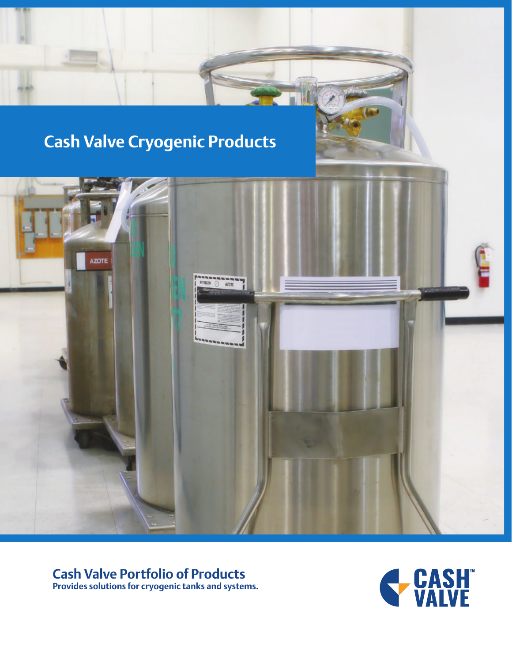# **Cash Valve Cryogenic Products**



## **Cash Valve Portfolio of Products**

**Provides solutions for cryogenic tanks and systems.**

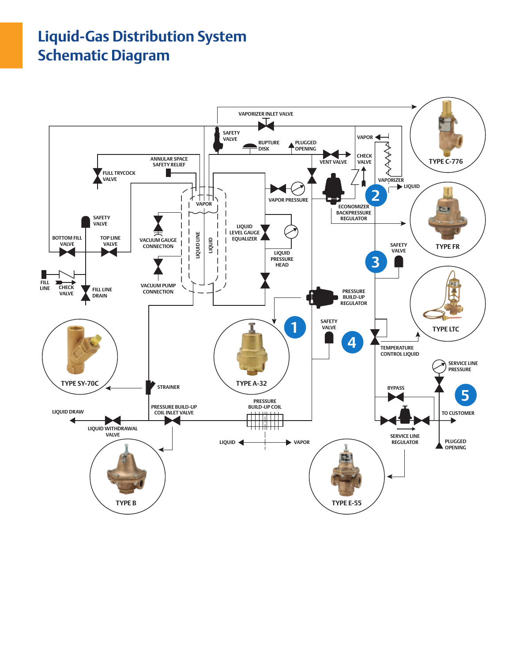## **Liquid-Gas Distribution System Schematic Diagram**

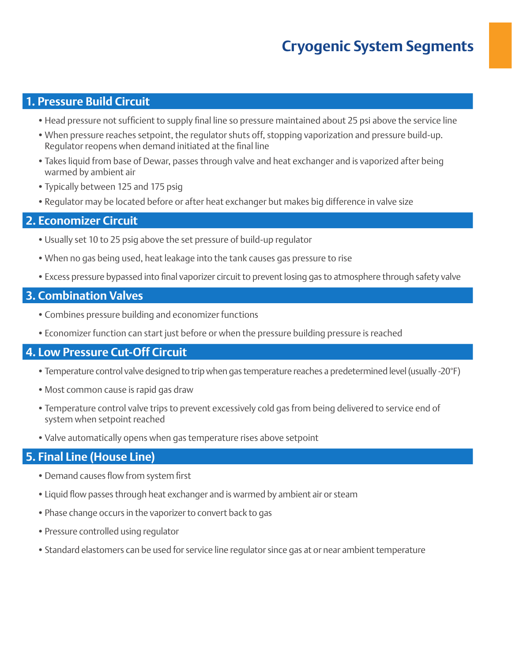## **Cryogenic System Segments**

#### **1. Pressure Build Circuit**

- •Head pressure not sufficient to supply final line so pressure maintained about 25 psi above the service line
- •When pressure reaches setpoint, the regulator shuts off, stopping vaporization and pressure build-up. Regulator reopens when demand initiated at the final line
- •Takes liquid from base of Dewar, passes through valve and heat exchanger and is vaporized after being warmed by ambient air
- •Typically between 125 and 175 psig
- •Regulator may be located before or after heat exchanger but makes big difference in valve size

#### **2. Economizer Circuit**

- •Usually set 10 to 25 psig above the set pressure of build-up regulator
- •When no gas being used, heat leakage into the tank causes gas pressure to rise
- •Excess pressure bypassed into final vaporizer circuit to prevent losing gas to atmosphere through safety valve

#### **3. Combination Valves**

- •Combines pressure building and economizer functions
- •Economizer function can start just before or when the pressure building pressure is reached

#### **4. Low Pressure Cut-Off Circuit**

- •Temperature control valve designed to trip when gas temperature reaches a predetermined level (usually -20°F)
- •Most common cause is rapid gas draw
- •Temperature control valve trips to prevent excessively cold gas from being delivered to service end of system when setpoint reached
- •Valve automatically opens when gas temperature rises above setpoint

#### **5. Final Line (House Line)**

- •Demand causes flow from system first
- •Liquid flow passes through heat exchanger and is warmed by ambient air or steam
- •Phase change occurs in the vaporizer to convert back to gas
- Pressure controlled using regulator
- •Standard elastomers can be used for service line regulator since gas at or near ambient temperature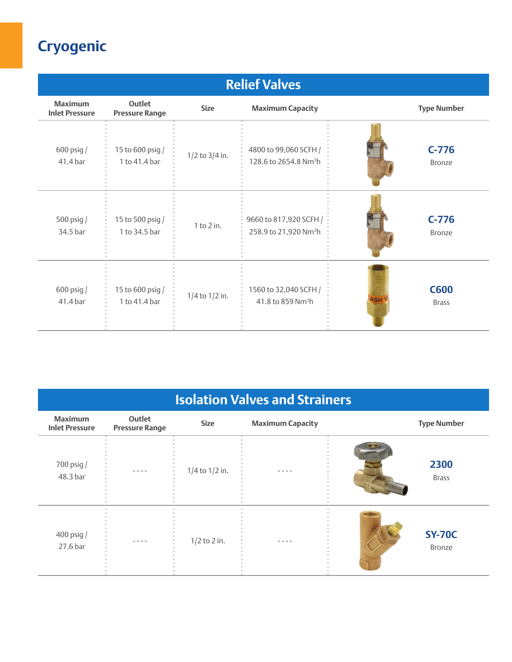| <b>Relief Valves</b>                    |                                   |                    |                                                             |                                           |  |
|-----------------------------------------|-----------------------------------|--------------------|-------------------------------------------------------------|-------------------------------------------|--|
| <b>Maximum</b><br><b>Inlet Pressure</b> | Outlet<br><b>Pressure Range</b>   | <b>Size</b>        | <b>Maximum Capacity</b>                                     | <b>Type Number</b>                        |  |
| $600$ psig $/$<br>41.4 bar              | 15 to 600 psig /<br>1 to 41.4 bar | $1/2$ to $3/4$ in. | 4800 to 99,060 SCFH /<br>128.6 to 2654.8 Nm <sup>3</sup> h  | $C-776$<br><b>Bronze</b>                  |  |
| 500 psig $/$<br>34.5 bar                | 15 to 500 psig /<br>1 to 34.5 bar | $1$ to $2$ in.     | 9660 to 817,920 SCFH /<br>258.9 to 21,920 Nm <sup>3</sup> h | $C-776$<br><b>Bronze</b>                  |  |
| $600$ psig $/$<br>41.4 bar              | 15 to 600 psig /<br>1 to 41.4 bar | $1/4$ to $1/2$ in. | 1560 to 32,040 SCFH /<br>41.8 to 859 Nm <sup>3</sup> h      | <b>C600</b><br><b>ASH</b><br><b>Brass</b> |  |

| <b>Isolation Valves and Strainers</b>   |                                 |                    |                         |                         |  |
|-----------------------------------------|---------------------------------|--------------------|-------------------------|-------------------------|--|
| <b>Maximum</b><br><b>Inlet Pressure</b> | Outlet<br><b>Pressure Range</b> | <b>Size</b>        | <b>Maximum Capacity</b> | <b>Type Number</b>      |  |
| 700 psig /<br>48.3 bar                  |                                 | $1/4$ to $1/2$ in. |                         | 2300<br><b>Brass</b>    |  |
| $400$ psig $/$<br>27.6 bar              | - - - -                         | $1/2$ to 2 in.     | - - - -                 | <b>SY-70C</b><br>Bronze |  |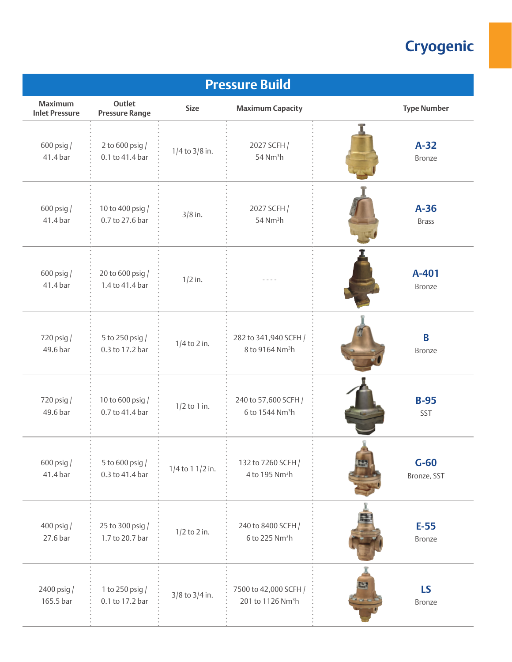| <b>Pressure Build</b>                   |                                     |                      |                               |                    |  |
|-----------------------------------------|-------------------------------------|----------------------|-------------------------------|--------------------|--|
| <b>Maximum</b><br><b>Inlet Pressure</b> | Outlet<br><b>Pressure Range</b>     | <b>Size</b>          | <b>Maximum Capacity</b>       | <b>Type Number</b> |  |
| 600 psig /                              | 2 to 600 psig /                     | $1/4$ to $3/8$ in.   | 2027 SCFH /                   | $A-32$             |  |
| 41.4 bar                                | 0.1 to 41.4 bar                     |                      | $54$ Nm <sup>3</sup> h        | Bronze             |  |
| 600 psig /                              | 10 to 400 psig /                    | $3/8$ in.            | 2027 SCFH /                   | $A-36$             |  |
| 41.4 bar                                | 0.7 to 27.6 bar                     |                      | $54$ Nm <sup>3</sup> h        | <b>Brass</b>       |  |
| $600$ psig $/$<br>41.4 bar              | 20 to 600 psig /<br>1.4 to 41.4 bar | $1/2$ in.            |                               | A-401<br>Bronze    |  |
| 720 psig /                              | 5 to 250 psig /                     | $1/4$ to 2 in.       | 282 to 341,940 SCFH /         | B                  |  |
| 49.6 bar                                | 0.3 to 17.2 bar                     |                      | 8 to 9164 Nm <sup>3</sup> h   | Bronze             |  |
| 720 psig /                              | 10 to 600 psig /                    | $1/2$ to 1 in.       | 240 to 57,600 SCFH /          | $B-95$             |  |
| 49.6 bar                                | 0.7 to 41.4 bar                     |                      | 6 to 1544 Nm <sup>3</sup> h   | SST                |  |
| 600 psig /                              | 5 to 600 psig /                     | $1/4$ to 1 $1/2$ in. | 132 to 7260 SCFH /            | $G-60$             |  |
| 41.4 bar                                | 0.3 to 41.4 bar                     |                      | 4 to 195 Nm <sup>3</sup> h    | Bronze, SST        |  |
| 400 psig /                              | 25 to 300 psig /                    | $1/2$ to 2 in.       | 240 to 8400 SCFH /            | $E-55$             |  |
| 27.6 bar                                | 1.7 to 20.7 bar                     |                      | 6 to 225 Nm <sup>3</sup> h    | Bronze             |  |
| 2400 psig /                             | 1 to 250 psig /                     | $3/8$ to $3/4$ in.   | 7500 to 42,000 SCFH /         | <b>LS</b>          |  |
| 165.5 bar                               | 0.1 to 17.2 bar                     |                      | 201 to 1126 Nm <sup>3</sup> h | Bronze             |  |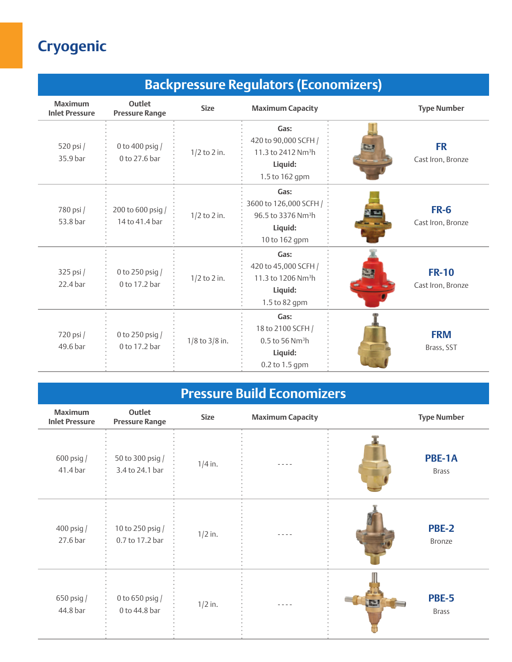| <b>Backpressure Regulators (Economizers)</b> |                                     |                    |                                                                                              |                                   |  |
|----------------------------------------------|-------------------------------------|--------------------|----------------------------------------------------------------------------------------------|-----------------------------------|--|
| <b>Maximum</b><br><b>Inlet Pressure</b>      | Outlet<br><b>Pressure Range</b>     | <b>Size</b>        | <b>Maximum Capacity</b>                                                                      | <b>Type Number</b>                |  |
| 520 psi /<br>35.9 bar                        | 0 to 400 psig /<br>0 to 27.6 bar    | $1/2$ to 2 in.     | Gas:<br>420 to 90,000 SCFH /<br>11.3 to 2412 Nm <sup>3</sup> h<br>Liquid:<br>1.5 to 162 gpm  | <b>FR</b><br>Cast Iron, Bronze    |  |
| 780 psi /<br>53.8 bar                        | 200 to 600 psig /<br>14 to 41.4 bar | $1/2$ to 2 in.     | Gas:<br>3600 to 126,000 SCFH /<br>96.5 to 3376 Nm <sup>3</sup> h<br>Liquid:<br>10 to 162 gpm | <b>FR-6</b><br>Cast Iron, Bronze  |  |
| 325 psi /<br>22.4 bar                        | 0 to 250 psig /<br>0 to 17.2 bar    | $1/2$ to 2 in.     | Gas:<br>420 to 45,000 SCFH /<br>11.3 to 1206 Nm <sup>3</sup> h<br>Liquid:<br>1.5 to 82 gpm   | <b>FR-10</b><br>Cast Iron, Bronze |  |
| 720 psi /<br>49.6 bar                        | 0 to 250 psig /<br>0 to 17.2 bar    | $1/8$ to $3/8$ in. | Gas:<br>18 to 2100 SCFH /<br>$0.5$ to 56 Nm <sup>3</sup> h<br>Liquid:<br>0.2 to 1.5 gpm      | <b>FRM</b><br>Brass, SST          |  |

## **Pressure Build Economizers**

| <b>Maximum</b><br><b>Inlet Pressure</b> | Outlet<br><b>Pressure Range</b>     | <b>Size</b> | <b>Maximum Capacity</b> | <b>Type Number</b>                |
|-----------------------------------------|-------------------------------------|-------------|-------------------------|-----------------------------------|
| 600 psig /<br>41.4 bar                  | 50 to 300 psig /<br>3.4 to 24.1 bar | $1/4$ in.   |                         | PBE-1A<br><b>Brass</b>            |
| 400 psig $/$<br>27.6 bar                | 10 to 250 psig /<br>0.7 to 17.2 bar | $1/2$ in.   |                         | <b>PBE-2</b><br>Bronze            |
| 650 psig /<br>44.8 bar                  | 0 to 650 psig /<br>0 to 44.8 bar    | $1/2$ in.   |                         | <b>PBE-5</b><br>聖<br><b>Brass</b> |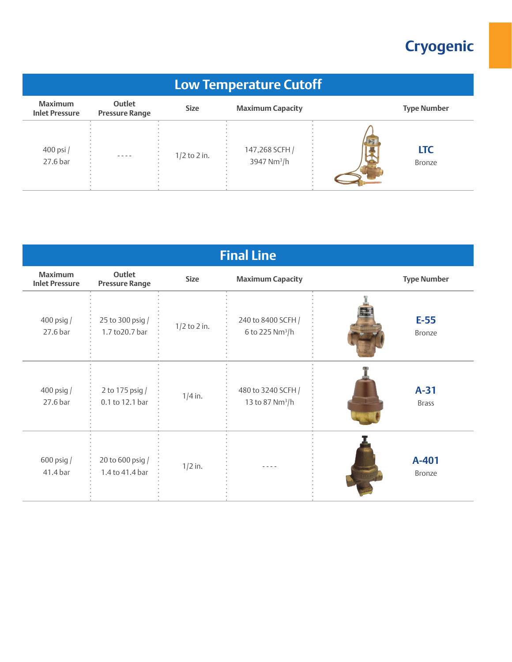| <b>Low Temperature Cutoff</b>           |                                 |                |                                           |  |                             |
|-----------------------------------------|---------------------------------|----------------|-------------------------------------------|--|-----------------------------|
| <b>Maximum</b><br><b>Inlet Pressure</b> | Outlet<br><b>Pressure Range</b> | <b>Size</b>    | <b>Maximum Capacity</b>                   |  | <b>Type Number</b>          |
| 400 psi /<br>27.6 bar                   | $- - - -$                       | $1/2$ to 2 in. | 147,268 SCFH /<br>3947 Nm <sup>3</sup> /h |  | <b>LTC</b><br><b>Bronze</b> |

| <b>Final Line</b>                       |                                     |                |                                                   |                         |  |
|-----------------------------------------|-------------------------------------|----------------|---------------------------------------------------|-------------------------|--|
| <b>Maximum</b><br><b>Inlet Pressure</b> | Outlet<br><b>Pressure Range</b>     | <b>Size</b>    | <b>Maximum Capacity</b>                           | <b>Type Number</b>      |  |
| $400$ psig $/$<br>27.6 bar              | 25 to 300 psig /<br>1.7 to 20.7 bar | $1/2$ to 2 in. | 240 to 8400 SCFH /<br>6 to 225 Nm <sup>3</sup> /h | $E-55$<br><b>Bronze</b> |  |
| 400 psig /<br>27.6 bar                  | 2 to 175 psig /<br>0.1 to 12.1 bar  | $1/4$ in.      | 480 to 3240 SCFH /<br>13 to 87 Nm <sup>3</sup> /h | $A-31$<br><b>Brass</b>  |  |
| $600$ psig $/$<br>41.4 bar              | 20 to 600 psig /<br>1.4 to 41.4 bar | $1/2$ in.      |                                                   | A-401<br>Bronze         |  |